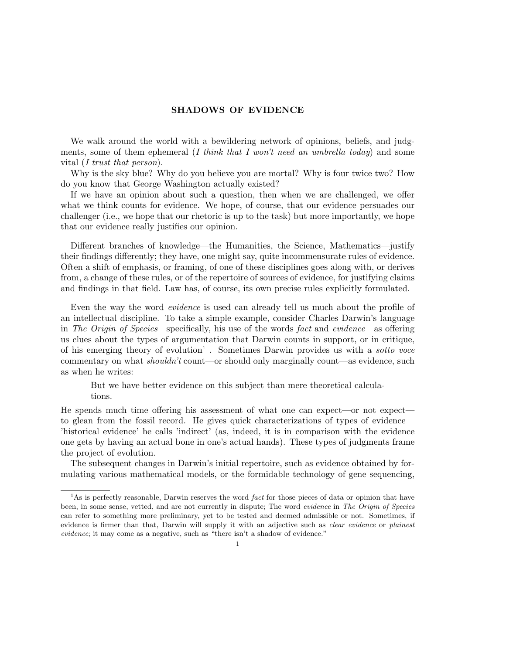## SHADOWS OF EVIDENCE

We walk around the world with a bewildering network of opinions, beliefs, and judgments, some of them ephemeral  $(I \text{ think that } I \text{ won't need an umbrella today})$  and some vital (*I trust that person*).

Why is the sky blue? Why do you believe you are mortal? Why is four twice two? How do you know that George Washington actually existed?

If we have an opinion about such a question, then when we are challenged, we offer what we think counts for evidence. We hope, of course, that our evidence persuades our challenger (i.e., we hope that our rhetoric is up to the task) but more importantly, we hope that our evidence really justifies our opinion.

Different branches of knowledge—the Humanities, the Science, Mathematics—justify their findings differently; they have, one might say, quite incommensurate rules of evidence. Often a shift of emphasis, or framing, of one of these disciplines goes along with, or derives from, a change of these rules, or of the repertoire of sources of evidence, for justifying claims and findings in that field. Law has, of course, its own precise rules explicitly formulated.

Even the way the word evidence is used can already tell us much about the profile of an intellectual discipline. To take a simple example, consider Charles Darwin's language in The Origin of Species—specifically, his use of the words fact and evidence—as offering us clues about the types of argumentation that Darwin counts in support, or in critique, of his emerging theory of evolution<sup>1</sup>. Sometimes Darwin provides us with a sotto voce commentary on what *shouldn't* count—or should only marginally count—as evidence, such as when he writes:

But we have better evidence on this subject than mere theoretical calculations.

He spends much time offering his assessment of what one can expect—or not expect to glean from the fossil record. He gives quick characterizations of types of evidence— 'historical evidence' he calls 'indirect' (as, indeed, it is in comparison with the evidence one gets by having an actual bone in one's actual hands). These types of judgments frame the project of evolution.

The subsequent changes in Darwin's initial repertoire, such as evidence obtained by formulating various mathematical models, or the formidable technology of gene sequencing,

 $1<sup>1</sup>$ As is perfectly reasonable. Darwin reserves the word *fact* for those pieces of data or opinion that have been, in some sense, vetted, and are not currently in dispute; The word evidence in The Origin of Species can refer to something more preliminary, yet to be tested and deemed admissible or not. Sometimes, if evidence is firmer than that, Darwin will supply it with an adjective such as *clear evidence* or *plainest* evidence; it may come as a negative, such as "there isn't a shadow of evidence."